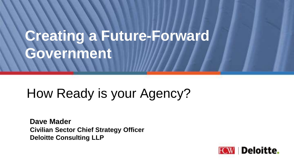# **Creating a Future-Forward Government**

## How Ready is your Agency?

**Dave Mader Civilian Sector Chief Strategy Officer Deloitte Consulting LLP**

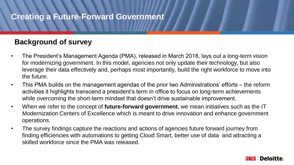#### **Creating a Future-Forward Government**

#### **Background of survey**

- The President's Management Agenda (PMA), released in March 2018, lays out a long-term vision for modernizing government. In this model, agencies not only update their technology, but also leverage their data effectively and, perhaps most importantly, build the right workforce to move into the future.
- This PMA builds on the management agendas of the prior two Administrations' efforts the reform activities it highlights transcend a president's term in office to focus on long-term achievements while overcoming the short-term mindset that doesn't drive sustainable improvement.
- When we refer to the concept of **future-forward government**, we mean initiatives such as the IT Modernization Centers of Excellence which is meant to drive innovation and enhance government operations.
- The survey findings capture the reactions and actions of agencies future forward journey from finding efficiencies with automations to getting Cloud Smart, better use of data and attracting a skilled workforce since the PMA was released.

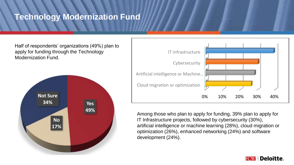#### **Technology Modernization Fund**

Half of respondents' organizations (49%) plan to apply for funding through the Technology Modernization Fund.





Among those who plan to apply for funding, 39% plan to apply for IT Infrastructure projects, followed by cybersecurity (30%), artificial intelligence or machine learning (28%), cloud migration or optimization (26%), enhanced networking (24%) and software development (24%).

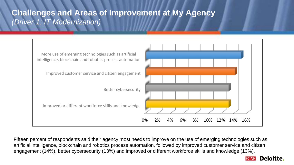#### **Challenges and Areas of Improvement at My Agency** *(Driver 1: IT Modernization)*



Fifteen percent of respondents said their agency most needs to improve on the use of emerging technologies such as artificial intelligence, blockchain and robotics process automation, followed by improved customer service and citizen engagement (14%), better cybersecurity (13%) and improved or different workforce skills and knowledge (13%).

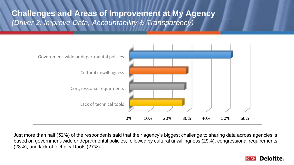#### **Challenges and Areas of Improvement at My Agency** *(Driver 2: Improve Data, Accountability & Transparency)*



Just more than half (52%) of the respondents said that their agency's biggest challenge to sharing data across agencies is based on government-wide or departmental policies, followed by cultural unwillingness (29%), congressional requirements (28%), and lack of technical tools (27%).

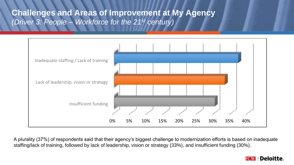**Challenges and Areas of Improvement at My Agency** *(Driver 3: People – Workforce for the 21st century)* 



A plurality (37%) of respondents said that their agency's biggest challenge to modernization efforts is based on inadequate staffing/lack of training, followed by lack of leadership, vision or strategy (33%), and insufficient funding (30%).

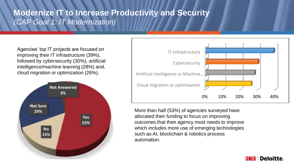### **Modernize IT to Increase Productivity and Security** *(CAP Goal 1: IT Modernization)*

Agencies' top IT projects are focused on improving their IT infrastructure (39%), followed by cybersecurity (30%), artificial intelligence/machine learning (28%) and, cloud migration or optimization (26%).





More than half (53%) of agencies surveyed have allocated their funding to focus on improving outcomes that their agency most needs to improve which includes more use of emerging technologies such as AI, blockchain & robotics process automation.

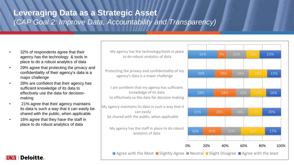### **Leveraging Data as a Strategic Asset** *(CAP Goal 2: Improve Data, Accountability and Transparency)*

- 32% of respondents agree that their agency has the technology & tools in place to do a robust analytics of data
- 29% agree that protecting the privacy and confidentiality of their agency's data is a major challenge
- 28% are confident that their agency has sufficient knowledge of its data to effectively use the data for decisionmaking
- 21% agree that their agency maintains its data is such a way that it can easily be shared with the public, when applicable
- 16% agree that they have the staff in place to do robust analytics of data



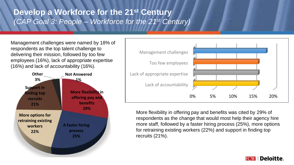### **Develop a Workforce for the 21st Century** *(CAP Goal 3: People – Workforce for the 21st Century)*

Management challenges were named by 18% of respondents as the top talent challenge to delivering their mission, followed by too few employees (16%), lack of appropriate expertise (16%) and lack of accountability (16%).





More flexibility in offering pay and benefits was cited by 29% of respondents as the change that would most help their agency hire more staff, followed by a faster hiring process (25%), more options for retraining existing workers (22%) and support in finding top recruits (21%).

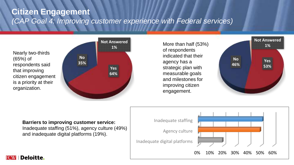#### **Citizen Engagement** *(CAP Goal 4: Improving customer experience with Federal services)*



More than half (53%) of respondents indicated that their agency has a strategic plan with measurable goals and milestones for improving citizen engagement.



#### **Barriers to improving customer service:**

Inadequate staffing (51%), agency culture (49%) and inadequate digital platforms (19%).



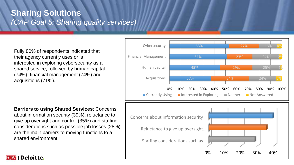#### **Sharing Solutions** *(CAP Goal 5: Sharing quality services)*

Fully 80% of respondents indicated that their agency currently uses or is interested in exploring cybersecurity as a shared service, followed by human capital (74%), financial management (74%) and acquisitions (71%).

#### **Barriers to using Shared Services**: Concerns

about information security (39%), reluctance to give up oversight and control (35%) and staffing considerations such as possible job losses (28%) are the main barriers to moving functions to a shared environment.



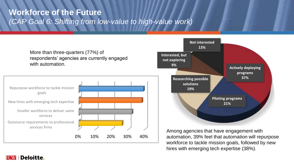### **Workforce of the Future** *(CAP Goal 6: Shifting from low-value to high-value work)*



**FCW Deloitte.**